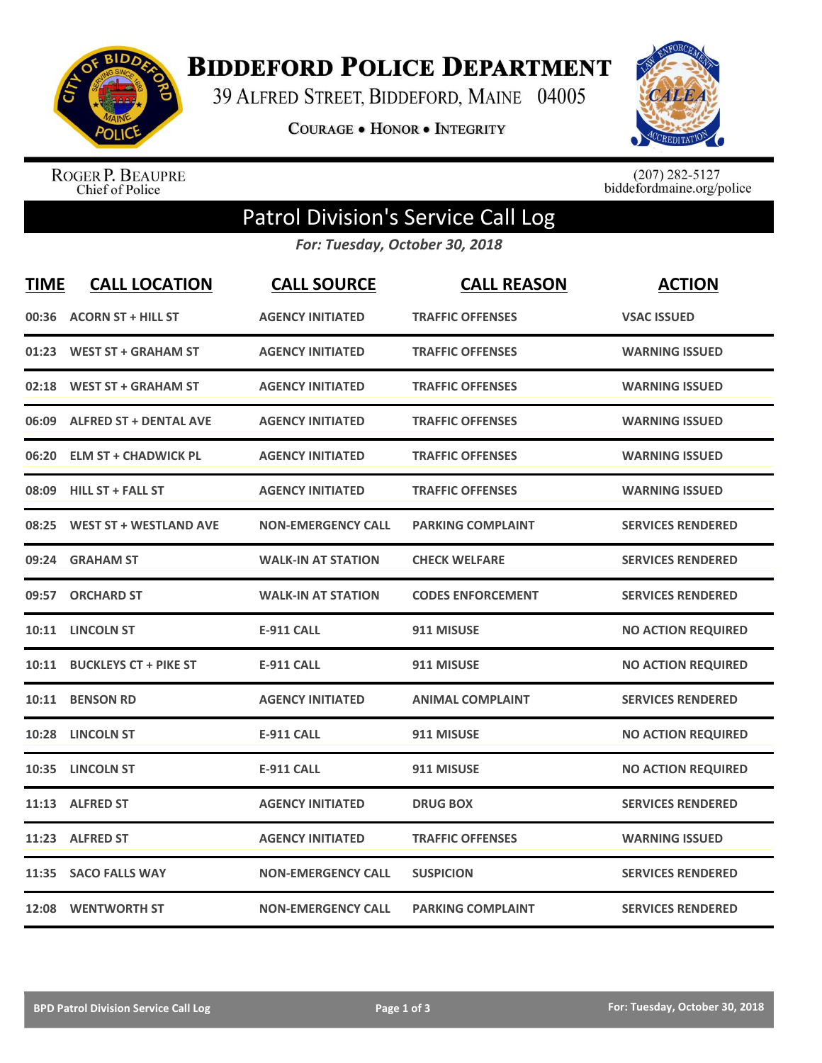

## **BIDDEFORD POLICE DEPARTMENT**

39 ALFRED STREET, BIDDEFORD, MAINE 04005

**COURAGE . HONOR . INTEGRITY** 



ROGER P. BEAUPRE<br>Chief of Police

 $(207)$  282-5127<br>biddefordmaine.org/police

## Patrol Division's Service Call Log

*For: Tuesday, October 30, 2018*

| <b>TIME</b> | <b>CALL LOCATION</b>          | <b>CALL SOURCE</b>        | <b>CALL REASON</b>       | <b>ACTION</b>             |
|-------------|-------------------------------|---------------------------|--------------------------|---------------------------|
| 00:36       | <b>ACORN ST + HILL ST</b>     | <b>AGENCY INITIATED</b>   | <b>TRAFFIC OFFENSES</b>  | <b>VSAC ISSUED</b>        |
|             | 01:23 WEST ST + GRAHAM ST     | <b>AGENCY INITIATED</b>   | <b>TRAFFIC OFFENSES</b>  | <b>WARNING ISSUED</b>     |
|             | 02:18 WEST ST + GRAHAM ST     | <b>AGENCY INITIATED</b>   | <b>TRAFFIC OFFENSES</b>  | <b>WARNING ISSUED</b>     |
|             | 06:09 ALFRED ST + DENTAL AVE  | <b>AGENCY INITIATED</b>   | <b>TRAFFIC OFFENSES</b>  | <b>WARNING ISSUED</b>     |
| 06:20       | <b>ELM ST + CHADWICK PL</b>   | <b>AGENCY INITIATED</b>   | <b>TRAFFIC OFFENSES</b>  | <b>WARNING ISSUED</b>     |
|             | 08:09 HILL ST + FALL ST       | <b>AGENCY INITIATED</b>   | <b>TRAFFIC OFFENSES</b>  | <b>WARNING ISSUED</b>     |
| 08:25       | <b>WEST ST + WESTLAND AVE</b> | <b>NON-EMERGENCY CALL</b> | <b>PARKING COMPLAINT</b> | <b>SERVICES RENDERED</b>  |
| 09:24       | <b>GRAHAM ST</b>              | <b>WALK-IN AT STATION</b> | <b>CHECK WELFARE</b>     | <b>SERVICES RENDERED</b>  |
| 09:57       | <b>ORCHARD ST</b>             | <b>WALK-IN AT STATION</b> | <b>CODES ENFORCEMENT</b> | <b>SERVICES RENDERED</b>  |
| 10:11       | <b>LINCOLN ST</b>             | <b>E-911 CALL</b>         | 911 MISUSE               | <b>NO ACTION REQUIRED</b> |
| 10:11       | <b>BUCKLEYS CT + PIKE ST</b>  | <b>E-911 CALL</b>         | 911 MISUSE               | <b>NO ACTION REQUIRED</b> |
| 10:11       | <b>BENSON RD</b>              | <b>AGENCY INITIATED</b>   | <b>ANIMAL COMPLAINT</b>  | <b>SERVICES RENDERED</b>  |
| 10:28       | <b>LINCOLN ST</b>             | <b>E-911 CALL</b>         | 911 MISUSE               | <b>NO ACTION REQUIRED</b> |
| 10:35       | <b>LINCOLN ST</b>             | <b>E-911 CALL</b>         | 911 MISUSE               | <b>NO ACTION REQUIRED</b> |
|             | 11:13 ALFRED ST               | <b>AGENCY INITIATED</b>   | <b>DRUG BOX</b>          | <b>SERVICES RENDERED</b>  |
|             | 11:23 ALFRED ST               | <b>AGENCY INITIATED</b>   | <b>TRAFFIC OFFENSES</b>  | <b>WARNING ISSUED</b>     |
|             | 11:35 SACO FALLS WAY          | <b>NON-EMERGENCY CALL</b> | <b>SUSPICION</b>         | <b>SERVICES RENDERED</b>  |
|             | 12:08 WENTWORTH ST            | <b>NON-EMERGENCY CALL</b> | <b>PARKING COMPLAINT</b> | <b>SERVICES RENDERED</b>  |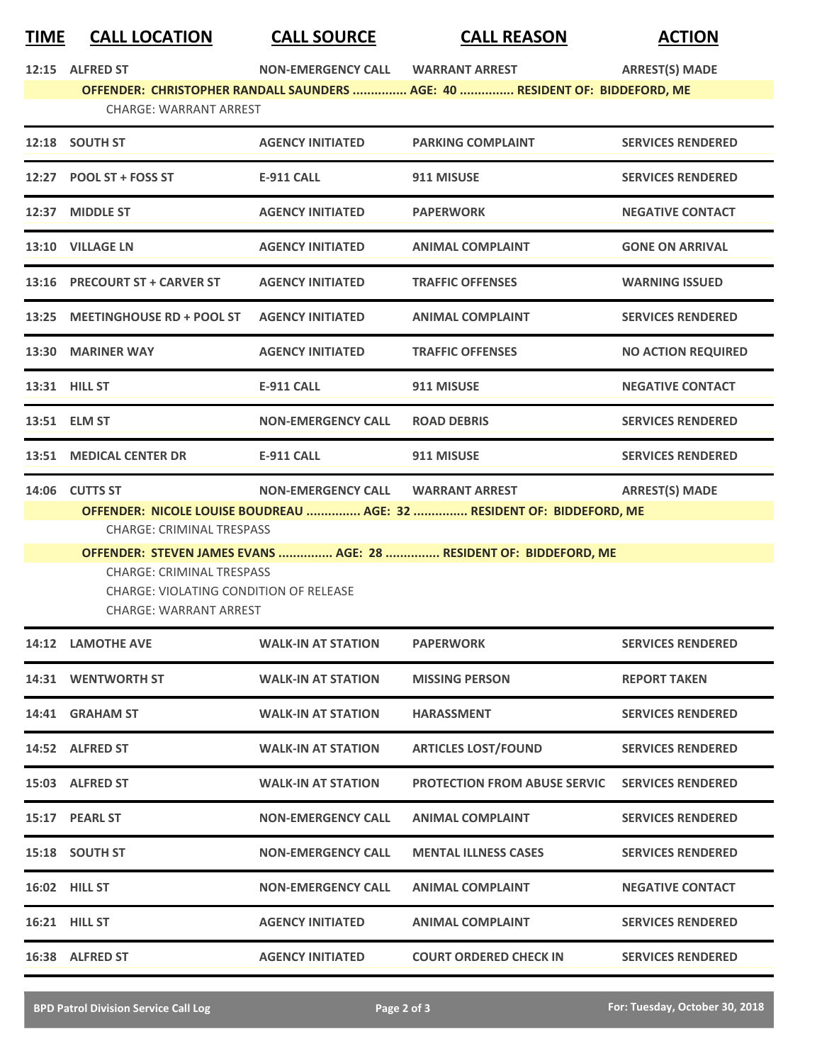## **TIME CALL LOCATION CALL SOURCE CALL REASON ACTION**

| <u>LIIVIL</u>                    | <b>CALL LUCATION</b>                                                                                  | CALL JUUNCE                       | LALL NEAJUIV                                                                | <b>ALIIUIV</b>            |  |  |
|----------------------------------|-------------------------------------------------------------------------------------------------------|-----------------------------------|-----------------------------------------------------------------------------|---------------------------|--|--|
|                                  | 12:15 ALFRED ST                                                                                       |                                   |                                                                             | <b>ARREST(S) MADE</b>     |  |  |
|                                  |                                                                                                       |                                   | OFFENDER: CHRISTOPHER RANDALL SAUNDERS  AGE: 40  RESIDENT OF: BIDDEFORD, ME |                           |  |  |
|                                  | <b>CHARGE: WARRANT ARREST</b>                                                                         |                                   |                                                                             |                           |  |  |
|                                  | 12:18 SOUTH ST                                                                                        | <b>AGENCY INITIATED</b>           | <b>PARKING COMPLAINT</b>                                                    | <b>SERVICES RENDERED</b>  |  |  |
|                                  | 12:27 POOL ST + FOSS ST                                                                               | E-911 CALL                        | 911 MISUSE                                                                  | <b>SERVICES RENDERED</b>  |  |  |
| 12:37                            | <b>MIDDLE ST</b>                                                                                      | <b>AGENCY INITIATED</b>           | <b>PAPERWORK</b>                                                            | <b>NEGATIVE CONTACT</b>   |  |  |
|                                  | 13:10 VILLAGE LN                                                                                      | <b>AGENCY INITIATED</b>           | <b>ANIMAL COMPLAINT</b>                                                     | <b>GONE ON ARRIVAL</b>    |  |  |
|                                  | 13:16 PRECOURT ST + CARVER ST                                                                         | <b>AGENCY INITIATED</b>           | <b>TRAFFIC OFFENSES</b>                                                     | <b>WARNING ISSUED</b>     |  |  |
| 13:25                            | <b>MEETINGHOUSE RD + POOL ST</b>                                                                      | <b>AGENCY INITIATED</b>           | <b>ANIMAL COMPLAINT</b>                                                     | <b>SERVICES RENDERED</b>  |  |  |
|                                  | 13:30 MARINER WAY                                                                                     | <b>AGENCY INITIATED</b>           | <b>TRAFFIC OFFENSES</b>                                                     | <b>NO ACTION REQUIRED</b> |  |  |
|                                  | 13:31 HILL ST                                                                                         | <b>E-911 CALL</b>                 | 911 MISUSE                                                                  | <b>NEGATIVE CONTACT</b>   |  |  |
|                                  | 13:51 ELM ST                                                                                          | <b>NON-EMERGENCY CALL</b>         | <b>ROAD DEBRIS</b>                                                          | <b>SERVICES RENDERED</b>  |  |  |
|                                  | 13:51 MEDICAL CENTER DR                                                                               | <b>E-911 CALL</b>                 | 911 MISUSE                                                                  | <b>SERVICES RENDERED</b>  |  |  |
| 14:06                            | <b>CUTTS ST</b>                                                                                       | NON-EMERGENCY CALL WARRANT ARREST |                                                                             | <b>ARREST(S) MADE</b>     |  |  |
|                                  |                                                                                                       |                                   | OFFENDER: NICOLE LOUISE BOUDREAU  AGE: 32  RESIDENT OF: BIDDEFORD, ME       |                           |  |  |
| <b>CHARGE: CRIMINAL TRESPASS</b> |                                                                                                       |                                   |                                                                             |                           |  |  |
|                                  | OFFENDER: STEVEN JAMES EVANS  AGE: 28  RESIDENT OF: BIDDEFORD, ME<br><b>CHARGE: CRIMINAL TRESPASS</b> |                                   |                                                                             |                           |  |  |
|                                  | <b>CHARGE: VIOLATING CONDITION OF RELEASE</b>                                                         |                                   |                                                                             |                           |  |  |
|                                  | CHARGE: WARRANT ARREST                                                                                |                                   |                                                                             |                           |  |  |
|                                  | 14:12 LAMOTHE AVE                                                                                     | WALK-IN AT STATION                | <b>PAPERWORK</b>                                                            | <b>SERVICES RENDERED</b>  |  |  |
|                                  | <b>14:31 WENTWORTH ST</b>                                                                             | <b>WALK-IN AT STATION</b>         | <b>MISSING PERSON</b>                                                       | <b>REPORT TAKEN</b>       |  |  |
|                                  | 14:41 GRAHAM ST                                                                                       | <b>WALK-IN AT STATION</b>         | <b>HARASSMENT</b>                                                           | <b>SERVICES RENDERED</b>  |  |  |
|                                  | 14:52 ALFRED ST                                                                                       | <b>WALK-IN AT STATION</b>         | <b>ARTICLES LOST/FOUND</b>                                                  | <b>SERVICES RENDERED</b>  |  |  |
|                                  | 15:03 ALFRED ST                                                                                       | <b>WALK-IN AT STATION</b>         | <b>PROTECTION FROM ABUSE SERVIC</b>                                         | <b>SERVICES RENDERED</b>  |  |  |
|                                  | 15:17 PEARL ST                                                                                        | <b>NON-EMERGENCY CALL</b>         | <b>ANIMAL COMPLAINT</b>                                                     | <b>SERVICES RENDERED</b>  |  |  |
|                                  | 15:18 SOUTH ST                                                                                        | <b>NON-EMERGENCY CALL</b>         | <b>MENTAL ILLNESS CASES</b>                                                 | <b>SERVICES RENDERED</b>  |  |  |
|                                  | <b>16:02 HILL ST</b>                                                                                  | <b>NON-EMERGENCY CALL</b>         | <b>ANIMAL COMPLAINT</b>                                                     | <b>NEGATIVE CONTACT</b>   |  |  |
|                                  | 16:21 HILL ST                                                                                         | <b>AGENCY INITIATED</b>           | <b>ANIMAL COMPLAINT</b>                                                     | <b>SERVICES RENDERED</b>  |  |  |
|                                  | 16:38 ALFRED ST                                                                                       | <b>AGENCY INITIATED</b>           | <b>COURT ORDERED CHECK IN</b>                                               | <b>SERVICES RENDERED</b>  |  |  |